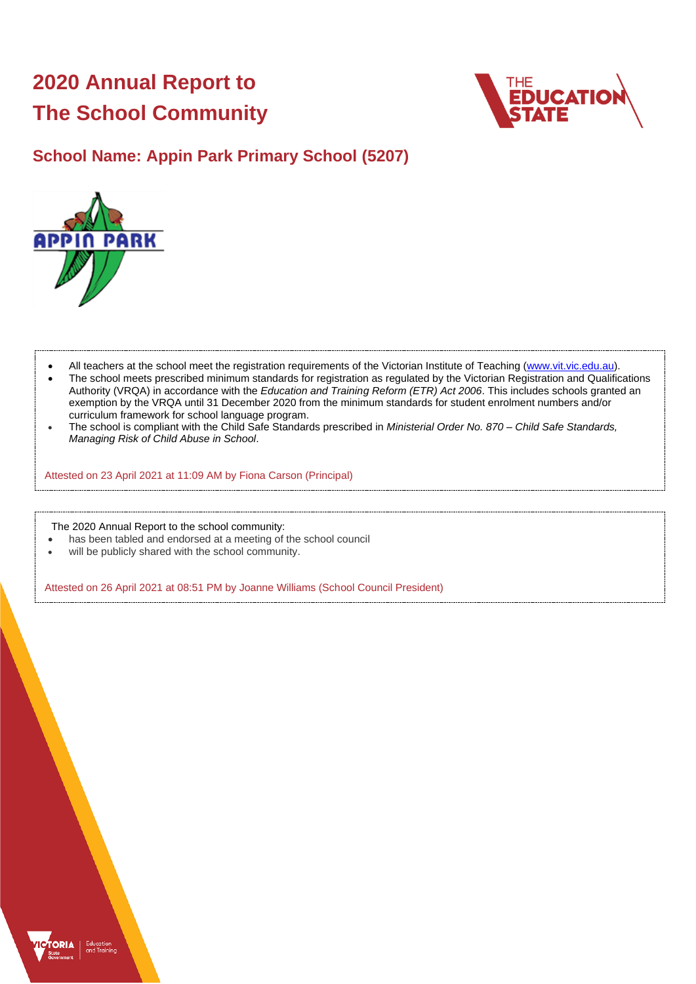# **2020 Annual Report to The School Community**



## **School Name: Appin Park Primary School (5207)**



- All teachers at the school meet the registration requirements of the Victorian Institute of Teaching [\(www.vit.vic.edu.au\)](https://www.vit.vic.edu.au/).
- The school meets prescribed minimum standards for registration as regulated by the Victorian Registration and Qualifications Authority (VRQA) in accordance with the *Education and Training Reform (ETR) Act 2006*. This includes schools granted an exemption by the VRQA until 31 December 2020 from the minimum standards for student enrolment numbers and/or curriculum framework for school language program.
- The school is compliant with the Child Safe Standards prescribed in *Ministerial Order No. 870 – Child Safe Standards, Managing Risk of Child Abuse in School*.

Attested on 23 April 2021 at 11:09 AM by Fiona Carson (Principal)

The 2020 Annual Report to the school community:

- has been tabled and endorsed at a meeting of the school council
- will be publicly shared with the school community.

Attested on 26 April 2021 at 08:51 PM by Joanne Williams (School Council President)

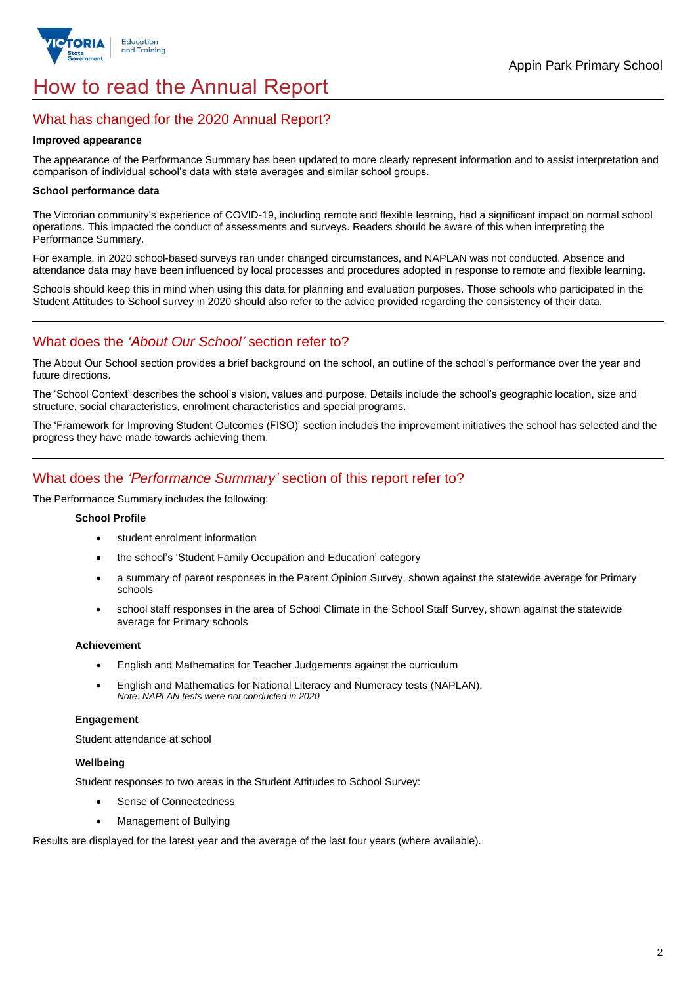

# How to read the Annual Report

## What has changed for the 2020 Annual Report?

#### **Improved appearance**

The appearance of the Performance Summary has been updated to more clearly represent information and to assist interpretation and comparison of individual school's data with state averages and similar school groups.

### **School performance data**

The Victorian community's experience of COVID-19, including remote and flexible learning, had a significant impact on normal school operations. This impacted the conduct of assessments and surveys. Readers should be aware of this when interpreting the Performance Summary.

For example, in 2020 school-based surveys ran under changed circumstances, and NAPLAN was not conducted. Absence and attendance data may have been influenced by local processes and procedures adopted in response to remote and flexible learning.

Schools should keep this in mind when using this data for planning and evaluation purposes. Those schools who participated in the Student Attitudes to School survey in 2020 should also refer to the advice provided regarding the consistency of their data.

## What does the *'About Our School'* section refer to?

The About Our School section provides a brief background on the school, an outline of the school's performance over the year and future directions.

The 'School Context' describes the school's vision, values and purpose. Details include the school's geographic location, size and structure, social characteristics, enrolment characteristics and special programs.

The 'Framework for Improving Student Outcomes (FISO)' section includes the improvement initiatives the school has selected and the progress they have made towards achieving them.

## What does the *'Performance Summary'* section of this report refer to?

The Performance Summary includes the following:

#### **School Profile**

- student enrolment information
- the school's 'Student Family Occupation and Education' category
- a summary of parent responses in the Parent Opinion Survey, shown against the statewide average for Primary schools
- school staff responses in the area of School Climate in the School Staff Survey, shown against the statewide average for Primary schools

#### **Achievement**

- English and Mathematics for Teacher Judgements against the curriculum
- English and Mathematics for National Literacy and Numeracy tests (NAPLAN). *Note: NAPLAN tests were not conducted in 2020*

#### **Engagement**

Student attendance at school

### **Wellbeing**

Student responses to two areas in the Student Attitudes to School Survey:

- Sense of Connectedness
- Management of Bullying

Results are displayed for the latest year and the average of the last four years (where available).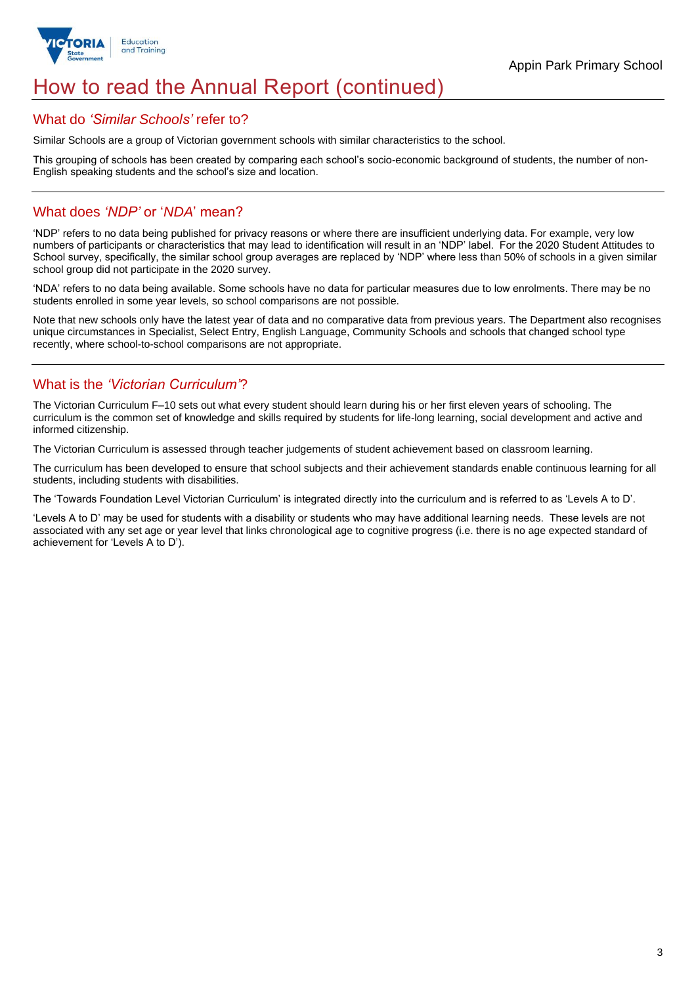

# How to read the Annual Report (continued)

### What do *'Similar Schools'* refer to?

Similar Schools are a group of Victorian government schools with similar characteristics to the school.

This grouping of schools has been created by comparing each school's socio-economic background of students, the number of non-English speaking students and the school's size and location.

## What does *'NDP'* or '*NDA*' mean?

'NDP' refers to no data being published for privacy reasons or where there are insufficient underlying data. For example, very low numbers of participants or characteristics that may lead to identification will result in an 'NDP' label. For the 2020 Student Attitudes to School survey, specifically, the similar school group averages are replaced by 'NDP' where less than 50% of schools in a given similar school group did not participate in the 2020 survey.

'NDA' refers to no data being available. Some schools have no data for particular measures due to low enrolments. There may be no students enrolled in some year levels, so school comparisons are not possible.

Note that new schools only have the latest year of data and no comparative data from previous years. The Department also recognises unique circumstances in Specialist, Select Entry, English Language, Community Schools and schools that changed school type recently, where school-to-school comparisons are not appropriate.

## What is the *'Victorian Curriculum'*?

The Victorian Curriculum F–10 sets out what every student should learn during his or her first eleven years of schooling. The curriculum is the common set of knowledge and skills required by students for life-long learning, social development and active and informed citizenship.

The Victorian Curriculum is assessed through teacher judgements of student achievement based on classroom learning.

The curriculum has been developed to ensure that school subjects and their achievement standards enable continuous learning for all students, including students with disabilities.

The 'Towards Foundation Level Victorian Curriculum' is integrated directly into the curriculum and is referred to as 'Levels A to D'.

'Levels A to D' may be used for students with a disability or students who may have additional learning needs. These levels are not associated with any set age or year level that links chronological age to cognitive progress (i.e. there is no age expected standard of achievement for 'Levels A to D').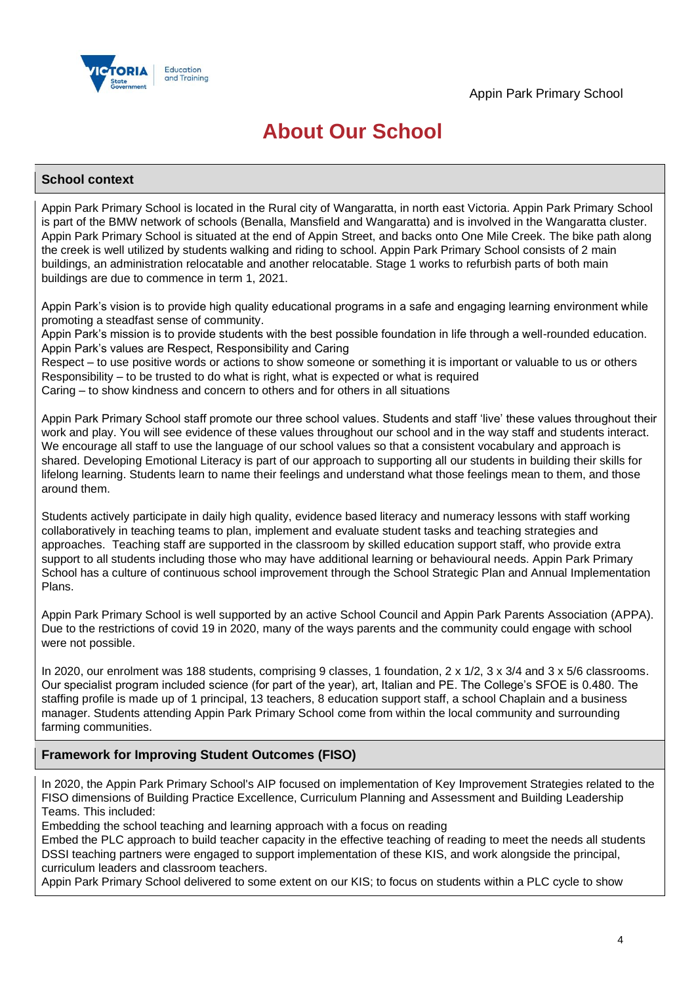

# **About Our School**

### **School context**

Appin Park Primary School is located in the Rural city of Wangaratta, in north east Victoria. Appin Park Primary School is part of the BMW network of schools (Benalla, Mansfield and Wangaratta) and is involved in the Wangaratta cluster. Appin Park Primary School is situated at the end of Appin Street, and backs onto One Mile Creek. The bike path along the creek is well utilized by students walking and riding to school. Appin Park Primary School consists of 2 main buildings, an administration relocatable and another relocatable. Stage 1 works to refurbish parts of both main buildings are due to commence in term 1, 2021.

Appin Park's vision is to provide high quality educational programs in a safe and engaging learning environment while promoting a steadfast sense of community.

Appin Park's mission is to provide students with the best possible foundation in life through a well-rounded education. Appin Park's values are Respect, Responsibility and Caring

Respect – to use positive words or actions to show someone or something it is important or valuable to us or others Responsibility – to be trusted to do what is right, what is expected or what is required

Caring – to show kindness and concern to others and for others in all situations

Appin Park Primary School staff promote our three school values. Students and staff 'live' these values throughout their work and play. You will see evidence of these values throughout our school and in the way staff and students interact. We encourage all staff to use the language of our school values so that a consistent vocabulary and approach is shared. Developing Emotional Literacy is part of our approach to supporting all our students in building their skills for lifelong learning. Students learn to name their feelings and understand what those feelings mean to them, and those around them.

Students actively participate in daily high quality, evidence based literacy and numeracy lessons with staff working collaboratively in teaching teams to plan, implement and evaluate student tasks and teaching strategies and approaches. Teaching staff are supported in the classroom by skilled education support staff, who provide extra support to all students including those who may have additional learning or behavioural needs. Appin Park Primary School has a culture of continuous school improvement through the School Strategic Plan and Annual Implementation Plans.

Appin Park Primary School is well supported by an active School Council and Appin Park Parents Association (APPA). Due to the restrictions of covid 19 in 2020, many of the ways parents and the community could engage with school were not possible.

In 2020, our enrolment was 188 students, comprising 9 classes, 1 foundation, 2 x 1/2, 3 x 3/4 and 3 x 5/6 classrooms. Our specialist program included science (for part of the year), art, Italian and PE. The College's SFOE is 0.480. The staffing profile is made up of 1 principal, 13 teachers, 8 education support staff, a school Chaplain and a business manager. Students attending Appin Park Primary School come from within the local community and surrounding farming communities.

## **Framework for Improving Student Outcomes (FISO)**

In 2020, the Appin Park Primary School's AIP focused on implementation of Key Improvement Strategies related to the FISO dimensions of Building Practice Excellence, Curriculum Planning and Assessment and Building Leadership Teams. This included:

Embedding the school teaching and learning approach with a focus on reading

Embed the PLC approach to build teacher capacity in the effective teaching of reading to meet the needs all students DSSI teaching partners were engaged to support implementation of these KIS, and work alongside the principal, curriculum leaders and classroom teachers.

Appin Park Primary School delivered to some extent on our KIS; to focus on students within a PLC cycle to show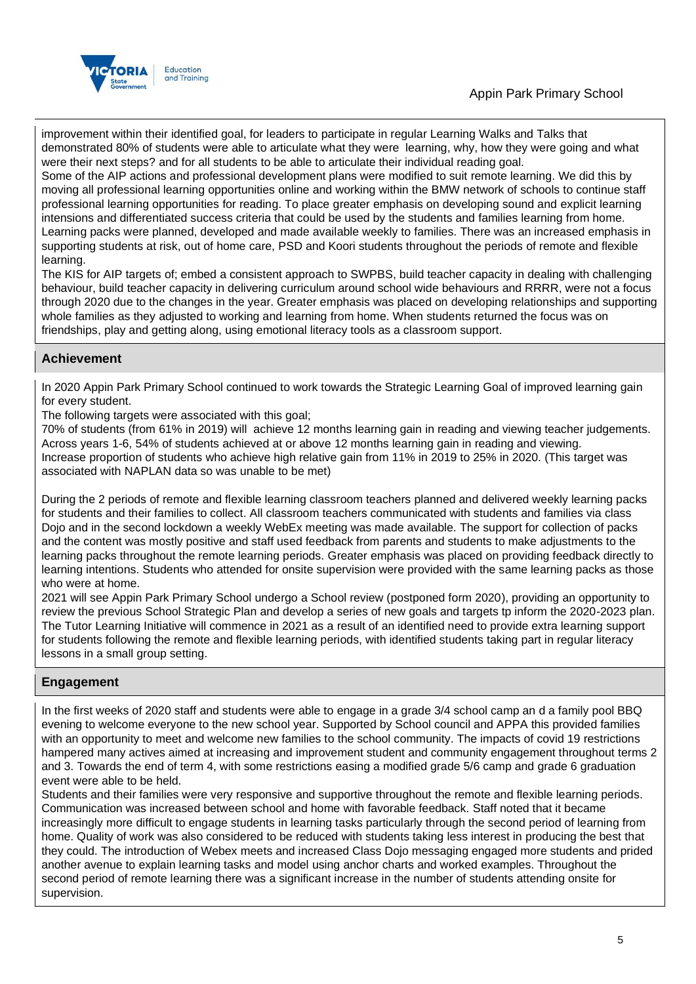



improvement within their identified goal, for leaders to participate in regular Learning Walks and Talks that demonstrated 80% of students were able to articulate what they were learning, why, how they were going and what were their next steps? and for all students to be able to articulate their individual reading goal.

Some of the AIP actions and professional development plans were modified to suit remote learning. We did this by moving all professional learning opportunities online and working within the BMW network of schools to continue staff professional learning opportunities for reading. To place greater emphasis on developing sound and explicit learning intensions and differentiated success criteria that could be used by the students and families learning from home. Learning packs were planned, developed and made available weekly to families. There was an increased emphasis in supporting students at risk, out of home care, PSD and Koori students throughout the periods of remote and flexible learning.

The KIS for AIP targets of; embed a consistent approach to SWPBS, build teacher capacity in dealing with challenging behaviour, build teacher capacity in delivering curriculum around school wide behaviours and RRRR, were not a focus through 2020 due to the changes in the year. Greater emphasis was placed on developing relationships and supporting whole families as they adjusted to working and learning from home. When students returned the focus was on friendships, play and getting along, using emotional literacy tools as a classroom support.

## **Achievement**

In 2020 Appin Park Primary School continued to work towards the Strategic Learning Goal of improved learning gain for every student.

The following targets were associated with this goal;

70% of students (from 61% in 2019) will achieve 12 months learning gain in reading and viewing teacher judgements. Across years 1-6, 54% of students achieved at or above 12 months learning gain in reading and viewing. Increase proportion of students who achieve high relative gain from 11% in 2019 to 25% in 2020. (This target was associated with NAPLAN data so was unable to be met)

During the 2 periods of remote and flexible learning classroom teachers planned and delivered weekly learning packs for students and their families to collect. All classroom teachers communicated with students and families via class Dojo and in the second lockdown a weekly WebEx meeting was made available. The support for collection of packs and the content was mostly positive and staff used feedback from parents and students to make adjustments to the learning packs throughout the remote learning periods. Greater emphasis was placed on providing feedback directly to learning intentions. Students who attended for onsite supervision were provided with the same learning packs as those who were at home.

2021 will see Appin Park Primary School undergo a School review (postponed form 2020), providing an opportunity to review the previous School Strategic Plan and develop a series of new goals and targets tp inform the 2020-2023 plan. The Tutor Learning Initiative will commence in 2021 as a result of an identified need to provide extra learning support for students following the remote and flexible learning periods, with identified students taking part in regular literacy lessons in a small group setting.

## **Engagement**

In the first weeks of 2020 staff and students were able to engage in a grade 3/4 school camp an d a family pool BBQ evening to welcome everyone to the new school year. Supported by School council and APPA this provided families with an opportunity to meet and welcome new families to the school community. The impacts of covid 19 restrictions hampered many actives aimed at increasing and improvement student and community engagement throughout terms 2 and 3. Towards the end of term 4, with some restrictions easing a modified grade 5/6 camp and grade 6 graduation event were able to be held.

Students and their families were very responsive and supportive throughout the remote and flexible learning periods. Communication was increased between school and home with favorable feedback. Staff noted that it became increasingly more difficult to engage students in learning tasks particularly through the second period of learning from home. Quality of work was also considered to be reduced with students taking less interest in producing the best that they could. The introduction of Webex meets and increased Class Dojo messaging engaged more students and prided another avenue to explain learning tasks and model using anchor charts and worked examples. Throughout the second period of remote learning there was a significant increase in the number of students attending onsite for supervision.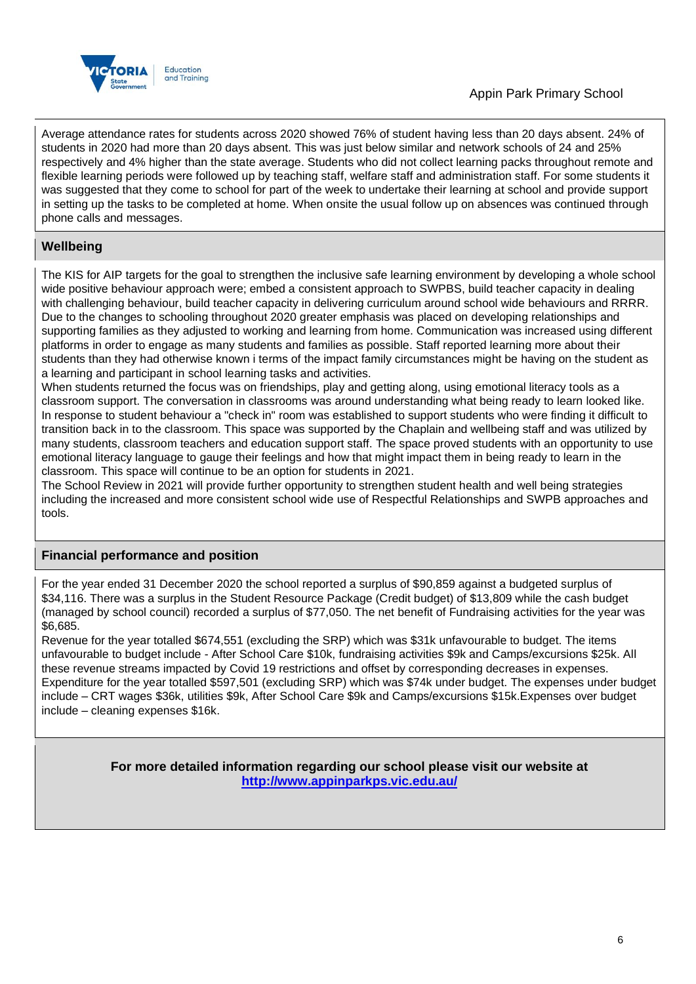

## Appin Park Primary School

Average attendance rates for students across 2020 showed 76% of student having less than 20 days absent. 24% of students in 2020 had more than 20 days absent. This was just below similar and network schools of 24 and 25% respectively and 4% higher than the state average. Students who did not collect learning packs throughout remote and flexible learning periods were followed up by teaching staff, welfare staff and administration staff. For some students it was suggested that they come to school for part of the week to undertake their learning at school and provide support in setting up the tasks to be completed at home. When onsite the usual follow up on absences was continued through phone calls and messages.

## **Wellbeing**

The KIS for AIP targets for the goal to strengthen the inclusive safe learning environment by developing a whole school wide positive behaviour approach were; embed a consistent approach to SWPBS, build teacher capacity in dealing with challenging behaviour, build teacher capacity in delivering curriculum around school wide behaviours and RRRR. Due to the changes to schooling throughout 2020 greater emphasis was placed on developing relationships and supporting families as they adjusted to working and learning from home. Communication was increased using different platforms in order to engage as many students and families as possible. Staff reported learning more about their students than they had otherwise known i terms of the impact family circumstances might be having on the student as a learning and participant in school learning tasks and activities.

When students returned the focus was on friendships, play and getting along, using emotional literacy tools as a classroom support. The conversation in classrooms was around understanding what being ready to learn looked like. In response to student behaviour a "check in" room was established to support students who were finding it difficult to transition back in to the classroom. This space was supported by the Chaplain and wellbeing staff and was utilized by many students, classroom teachers and education support staff. The space proved students with an opportunity to use emotional literacy language to gauge their feelings and how that might impact them in being ready to learn in the classroom. This space will continue to be an option for students in 2021.

The School Review in 2021 will provide further opportunity to strengthen student health and well being strategies including the increased and more consistent school wide use of Respectful Relationships and SWPB approaches and tools.

## **Financial performance and position**

For the year ended 31 December 2020 the school reported a surplus of \$90,859 against a budgeted surplus of \$34,116. There was a surplus in the Student Resource Package (Credit budget) of \$13,809 while the cash budget (managed by school council) recorded a surplus of \$77,050. The net benefit of Fundraising activities for the year was \$6,685.

Revenue for the year totalled \$674,551 (excluding the SRP) which was \$31k unfavourable to budget. The items unfavourable to budget include - After School Care \$10k, fundraising activities \$9k and Camps/excursions \$25k. All these revenue streams impacted by Covid 19 restrictions and offset by corresponding decreases in expenses. Expenditure for the year totalled \$597,501 (excluding SRP) which was \$74k under budget. The expenses under budget include – CRT wages \$36k, utilities \$9k, After School Care \$9k and Camps/excursions \$15k.Expenses over budget include – cleaning expenses \$16k.

> **For more detailed information regarding our school please visit our website at <http://www.appinparkps.vic.edu.au/>**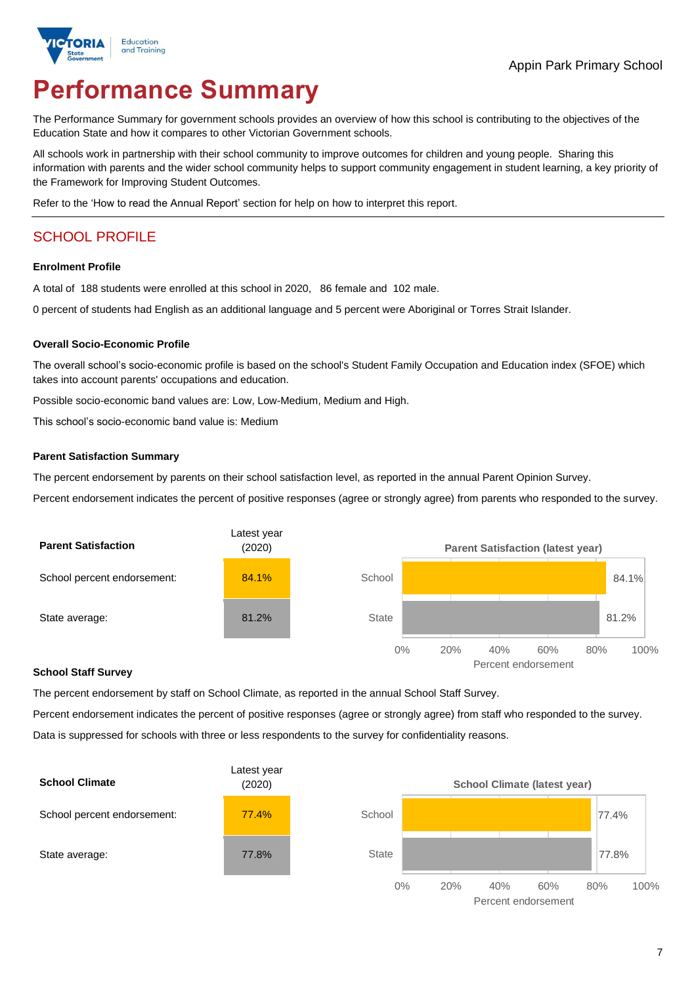

# **Performance Summary**

The Performance Summary for government schools provides an overview of how this school is contributing to the objectives of the Education State and how it compares to other Victorian Government schools.

All schools work in partnership with their school community to improve outcomes for children and young people. Sharing this information with parents and the wider school community helps to support community engagement in student learning, a key priority of the Framework for Improving Student Outcomes.

Refer to the 'How to read the Annual Report' section for help on how to interpret this report.

## SCHOOL PROFILE

#### **Enrolment Profile**

A total of 188 students were enrolled at this school in 2020, 86 female and 102 male.

0 percent of students had English as an additional language and 5 percent were Aboriginal or Torres Strait Islander.

#### **Overall Socio-Economic Profile**

The overall school's socio-economic profile is based on the school's Student Family Occupation and Education index (SFOE) which takes into account parents' occupations and education.

Possible socio-economic band values are: Low, Low-Medium, Medium and High.

This school's socio-economic band value is: Medium

#### **Parent Satisfaction Summary**

The percent endorsement by parents on their school satisfaction level, as reported in the annual Parent Opinion Survey.

Percent endorsement indicates the percent of positive responses (agree or strongly agree) from parents who responded to the survey.



#### **School Staff Survey**

The percent endorsement by staff on School Climate, as reported in the annual School Staff Survey.

Percent endorsement indicates the percent of positive responses (agree or strongly agree) from staff who responded to the survey. Data is suppressed for schools with three or less respondents to the survey for confidentiality reasons.



Percent endorsement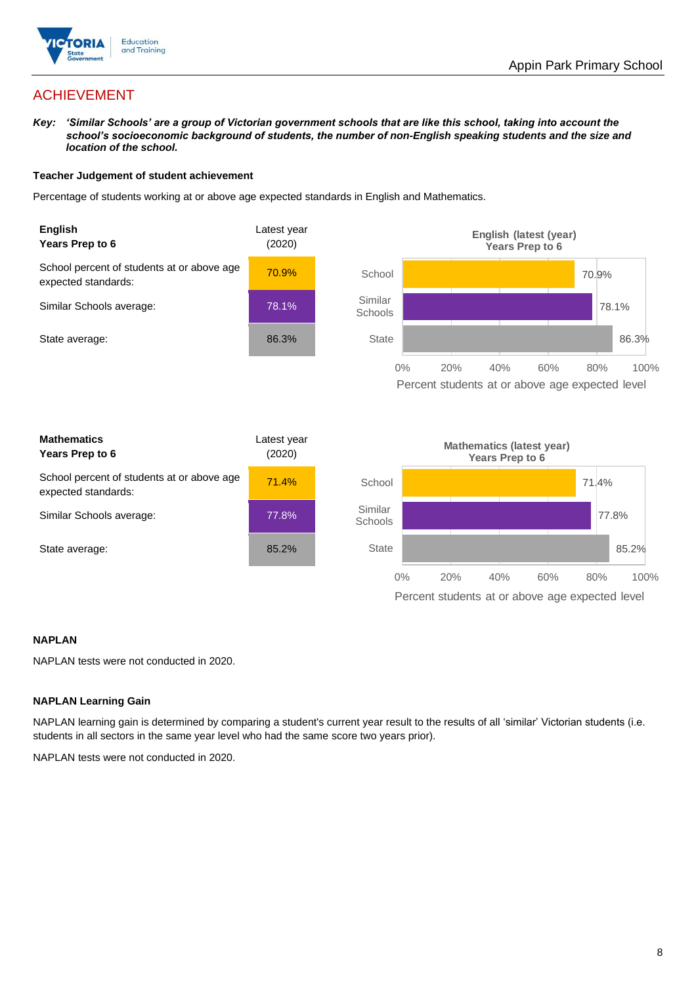

## ACHIEVEMENT

*Key: 'Similar Schools' are a group of Victorian government schools that are like this school, taking into account the school's socioeconomic background of students, the number of non-English speaking students and the size and location of the school.*

### **Teacher Judgement of student achievement**

Percentage of students working at or above age expected standards in English and Mathematics.



### **NAPLAN**

NAPLAN tests were not conducted in 2020.

### **NAPLAN Learning Gain**

NAPLAN learning gain is determined by comparing a student's current year result to the results of all 'similar' Victorian students (i.e. students in all sectors in the same year level who had the same score two years prior).

NAPLAN tests were not conducted in 2020.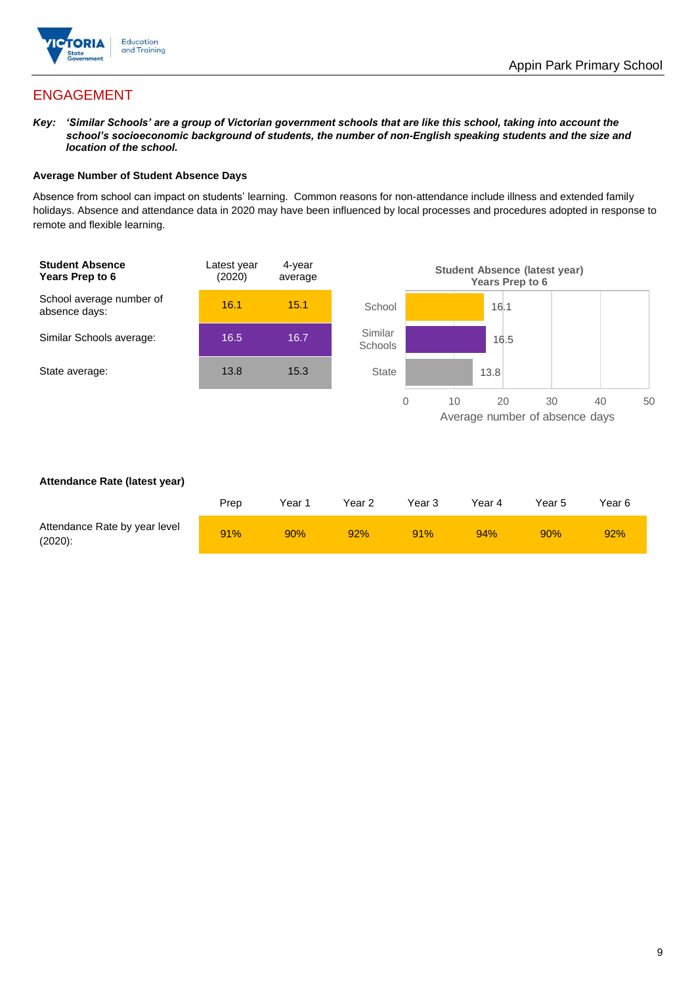

## ENGAGEMENT

*Key: 'Similar Schools' are a group of Victorian government schools that are like this school, taking into account the school's socioeconomic background of students, the number of non-English speaking students and the size and location of the school.*

### **Average Number of Student Absence Days**

Absence from school can impact on students' learning. Common reasons for non-attendance include illness and extended family holidays. Absence and attendance data in 2020 may have been influenced by local processes and procedures adopted in response to remote and flexible learning.



### **Attendance Rate (latest year)**

|                                             | Prep | Year 1 | Year 2 | Year 3 | Year 4 | Year 5 | Year 6 |
|---------------------------------------------|------|--------|--------|--------|--------|--------|--------|
| Attendance Rate by year level<br>$(2020)$ : | 91%  | 90%    | 92%    | 91%    | 94%    | 90%    | 92%    |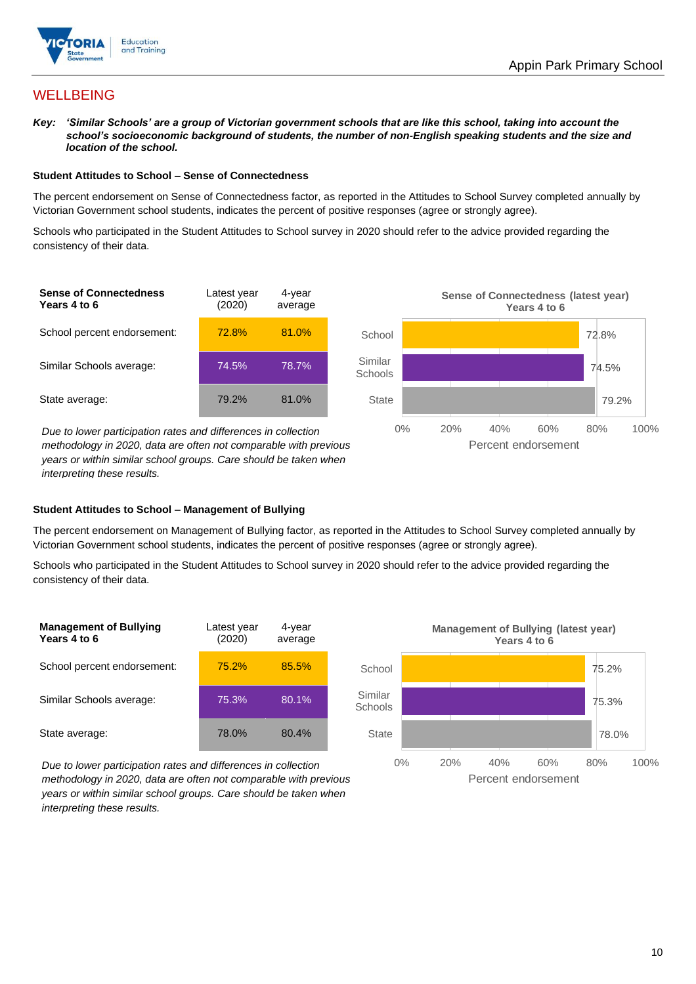

## **WELLBEING**

*Key: 'Similar Schools' are a group of Victorian government schools that are like this school, taking into account the school's socioeconomic background of students, the number of non-English speaking students and the size and location of the school.*

#### **Student Attitudes to School – Sense of Connectedness**

The percent endorsement on Sense of Connectedness factor, as reported in the Attitudes to School Survey completed annually by Victorian Government school students, indicates the percent of positive responses (agree or strongly agree).

Schools who participated in the Student Attitudes to School survey in 2020 should refer to the advice provided regarding the consistency of their data.



*methodology in 2020, data are often not comparable with previous years or within similar school groups. Care should be taken when interpreting these results.*

### **Student Attitudes to School – Management of Bullying**

The percent endorsement on Management of Bullying factor, as reported in the Attitudes to School Survey completed annually by Victorian Government school students, indicates the percent of positive responses (agree or strongly agree).

Schools who participated in the Student Attitudes to School survey in 2020 should refer to the advice provided regarding the consistency of their data.



*Due to lower participation rates and differences in collection methodology in 2020, data are often not comparable with previous years or within similar school groups. Care should be taken when interpreting these results.*

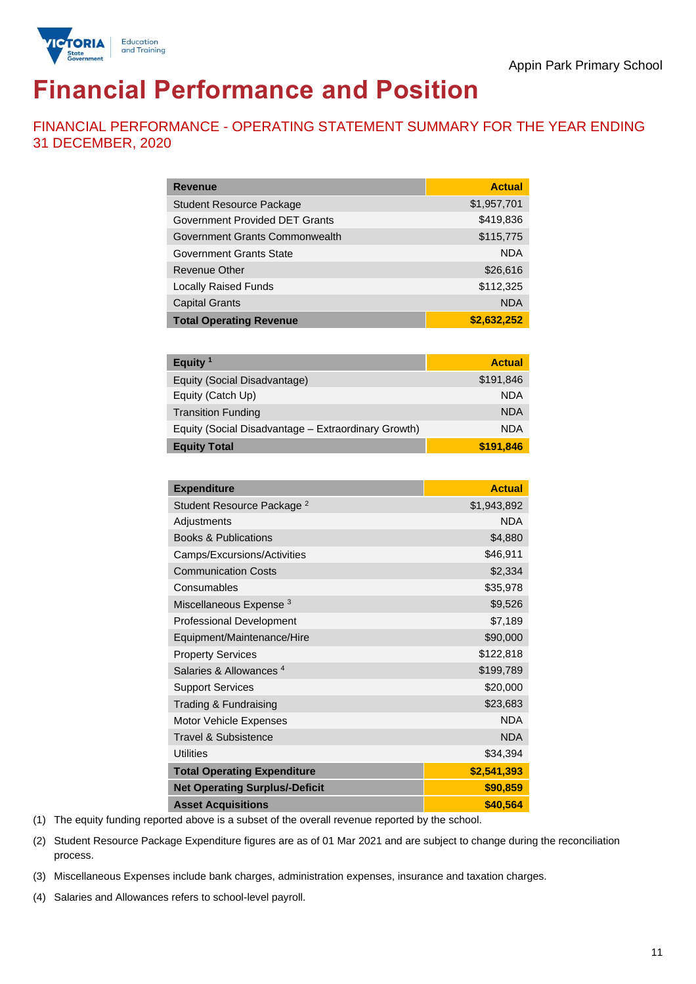

# **Financial Performance and Position**

FINANCIAL PERFORMANCE - OPERATING STATEMENT SUMMARY FOR THE YEAR ENDING 31 DECEMBER, 2020

| <b>Revenue</b>                  | <b>Actual</b> |
|---------------------------------|---------------|
| <b>Student Resource Package</b> | \$1,957,701   |
| Government Provided DET Grants  | \$419,836     |
| Government Grants Commonwealth  | \$115,775     |
| <b>Government Grants State</b>  | <b>NDA</b>    |
| <b>Revenue Other</b>            | \$26,616      |
| <b>Locally Raised Funds</b>     | \$112,325     |
| <b>Capital Grants</b>           | <b>NDA</b>    |
| <b>Total Operating Revenue</b>  | \$2,632,252   |

| Equity <sup>1</sup>                                 | <b>Actual</b> |
|-----------------------------------------------------|---------------|
| Equity (Social Disadvantage)                        | \$191,846     |
| Equity (Catch Up)                                   | <b>NDA</b>    |
| <b>Transition Funding</b>                           | <b>NDA</b>    |
| Equity (Social Disadvantage - Extraordinary Growth) | <b>NDA</b>    |
| <b>Equity Total</b>                                 | \$191,846     |

| <b>Expenditure</b>                    | <b>Actual</b> |
|---------------------------------------|---------------|
| Student Resource Package <sup>2</sup> | \$1,943,892   |
| Adjustments                           | <b>NDA</b>    |
| <b>Books &amp; Publications</b>       | \$4,880       |
| Camps/Excursions/Activities           | \$46,911      |
| <b>Communication Costs</b>            | \$2,334       |
| Consumables                           | \$35,978      |
| Miscellaneous Expense <sup>3</sup>    | \$9,526       |
| <b>Professional Development</b>       | \$7,189       |
| Equipment/Maintenance/Hire            | \$90,000      |
| <b>Property Services</b>              | \$122,818     |
| Salaries & Allowances <sup>4</sup>    | \$199,789     |
| <b>Support Services</b>               | \$20,000      |
| Trading & Fundraising                 | \$23,683      |
| Motor Vehicle Expenses                | <b>NDA</b>    |
| <b>Travel &amp; Subsistence</b>       | <b>NDA</b>    |
| <b>Utilities</b>                      | \$34,394      |
| <b>Total Operating Expenditure</b>    | \$2,541,393   |
| <b>Net Operating Surplus/-Deficit</b> | \$90,859      |
| <b>Asset Acquisitions</b>             | \$40,564      |

(1) The equity funding reported above is a subset of the overall revenue reported by the school.

(2) Student Resource Package Expenditure figures are as of 01 Mar 2021 and are subject to change during the reconciliation process.

(3) Miscellaneous Expenses include bank charges, administration expenses, insurance and taxation charges.

(4) Salaries and Allowances refers to school-level payroll.